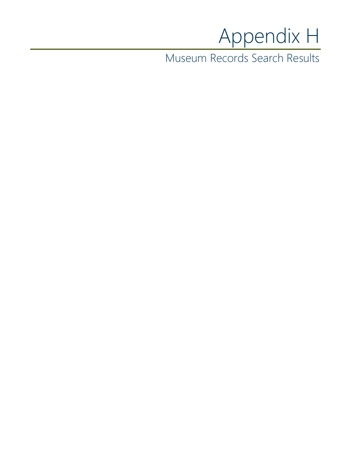## Appendix H

Museum Records Search Results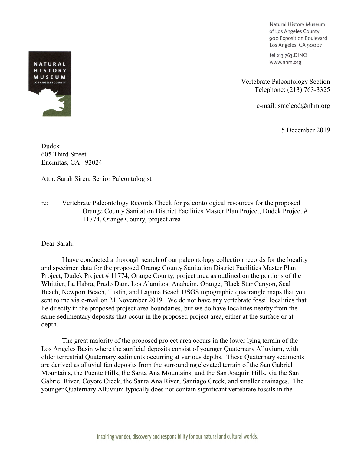Natural History Museum of Los Angeles County 900 Exposition Boulevard Los Angeles, CA 90007

tel 213.763.DINO www.nhm.org

Vertebrate Paleontology Section Telephone: (213) 763-3325

e-mail: smcleod@nhm.org

5 December 2019

Dudek 605 Third Street Encinitas, CA 92024

Attn: Sarah Siren, Senior Paleontologist

re: Vertebrate Paleontology Records Check for paleontological resources for the proposed Orange County Sanitation District Facilities Master Plan Project, Dudek Project # 11774, Orange County, project area

Dear Sarah:

I have conducted a thorough search of our paleontology collection records for the locality and specimen data for the proposed Orange County Sanitation District Facilities Master Plan Project, Dudek Project # 11774, Orange County, project area as outlined on the portions of the Whittier, La Habra, Prado Dam, Los Alamitos, Anaheim, Orange, Black Star Canyon, Seal Beach, Newport Beach, Tustin, and Laguna Beach USGS topographic quadrangle maps that you sent to me via e-mail on 21 November 2019. We do not have any vertebrate fossil localities that lie directly in the proposed project area boundaries, but we do have localities nearby from the same sedimentary deposits that occur in the proposed project area, either at the surface or at depth.

The great majority of the proposed project area occurs in the lower lying terrain of the Los Angeles Basin where the surficial deposits consist of younger Quaternary Alluvium, with older terrestrial Quaternary sediments occurring at various depths. These Quaternary sediments are derived as alluvial fan deposits from the surrounding elevated terrain of the San Gabriel Mountains, the Puente Hills, the Santa Ana Mountains, and the San Joaquin Hills, via the San Gabriel River, Coyote Creek, the Santa Ana River, Santiago Creek, and smaller drainages. The younger Quaternary Alluvium typically does not contain significant vertebrate fossils in the



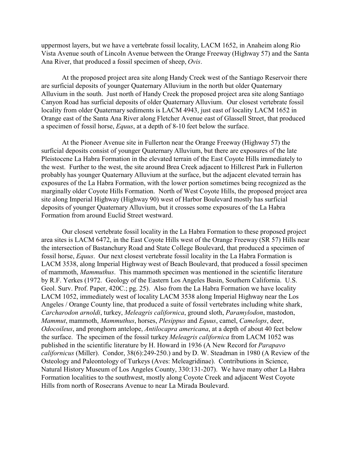uppermost layers, but we have a vertebrate fossil locality, LACM 1652, in Anaheim along Rio Vista Avenue south of Lincoln Avenue between the Orange Freeway (Highway 57) and the Santa Ana River, that produced a fossil specimen of sheep, *Ovis*.

At the proposed project area site along Handy Creek west of the Santiago Reservoir there are surficial deposits of younger Quaternary Alluvium in the north but older Quaternary Alluvium in the south. Just north of Handy Creek the proposed project area site along Santiago Canyon Road has surficial deposits of older Quaternary Alluvium. Our closest vertebrate fossil locality from older Quaternary sediments is LACM 4943, just east of locality LACM 1652 in Orange east of the Santa Ana River along Fletcher Avenue east of Glassell Street, that produced a specimen of fossil horse, *Equus*, at a depth of 8-10 feet below the surface.

At the Pioneer Avenue site in Fullerton near the Orange Freeway (Highway 57) the surficial deposits consist of younger Quaternary Alluvium, but there are exposures of the late Pleistocene La Habra Formation in the elevated terrain of the East Coyote Hills immediately to the west. Further to the west, the site around Brea Creek adjacent to Hillcrest Park in Fullerton probably has younger Quaternary Alluvium at the surface, but the adjacent elevated terrain has exposures of the La Habra Formation, with the lower portion sometimes being recognized as the marginally older Coyote Hills Formation. North of West Coyote Hills, the proposed project area site along Imperial Highway (Highway 90) west of Harbor Boulevard mostly has surficial deposits of younger Quaternary Alluvium, but it crosses some exposures of the La Habra Formation from around Euclid Street westward.

Our closest vertebrate fossil locality in the La Habra Formation to these proposed project area sites is LACM 6472, in the East Coyote Hills west of the Orange Freeway (SR 57) Hills near the intersection of Bastanchury Road and State College Boulevard, that produced a specimen of fossil horse, *Equus*. Our next closest vertebrate fossil locality in the La Habra Formation is LACM 3538, along Imperial Highway west of Beach Boulevard, that produced a fossil specimen of mammoth, *Mammuthus*. This mammoth specimen was mentioned in the scientific literature by R.F. Yerkes (1972. Geology of the Eastern Los Angeles Basin, Southern California. U.S. Geol. Surv. Prof. Paper, 420C.; pg. 25). Also from the La Habra Formation we have locality LACM 1052, immediately west of locality LACM 3538 along Imperial Highway near the Los Angeles / Orange County line, that produced a suite of fossil vertebrates including white shark, *Carcharodon arnoldi*, turkey, *Meleagris californica*, ground sloth, *Paramylodon*, mastodon, *Mammut*, mammoth, *Mammuthus*, horses, *Plesippus* and *Equus*, camel, *Camelops*, deer, *Odocoileus*, and pronghorn antelope, *Antilocapra americana*, at a depth of about 40 feet below the surface. The specimen of the fossil turkey *Meleagris californica* from LACM 1052 was published in the scientific literature by H. Howard in 1936 (A New Record for *Parapavo californicus* (Miller). Condor, 38(6):249-250.) and by D. W. Steadman in 1980 (A Review of the Osteology and Paleontology of Turkeys (Aves: Meleagridinae). Contributions in Science, Natural History Museum of Los Angeles County, 330:131-207). We have many other La Habra Formation localities to the southwest, mostly along Coyote Creek and adjacent West Coyote Hills from north of Rosecrans Avenue to near La Mirada Boulevard.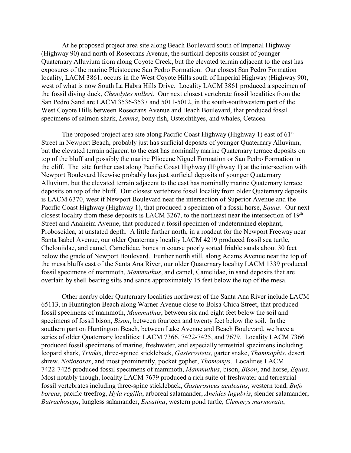At he proposed project area site along Beach Boulevard south of Imperial Highway (Highway 90) and north of Rosecrans Avenue, the surficial deposits consist of younger Quaternary Alluvium from along Coyote Creek, but the elevated terrain adjacent to the east has exposures of the marine Pleistocene San Pedro Formation. Our closest San Pedro Formation locality, LACM 3861, occurs in the West Coyote Hills south of Imperial Highway (Highway 90), west of what is now South La Habra Hills Drive. Locality LACM 3861 produced a specimen of the fossil diving duck, *Chendytes milleri*. Our next closest vertebrate fossil localities from the San Pedro Sand are LACM 3536-3537 and 5011-5012, in the south-southwestern part of the West Coyote Hills between Rosecrans Avenue and Beach Boulevard, that produced fossil specimens of salmon shark, *Lamna*, bony fish, Osteichthyes, and whales, Cetacea.

The proposed project area site along Pacific Coast Highway (Highway 1) east of  $61<sup>st</sup>$ Street in Newport Beach, probably just has surficial deposits of younger Quaternary Alluvium, but the elevated terrain adjacent to the east has nominally marine Quaternary terrace deposits on top of the bluff and possibly the marine Pliocene Niguel Formation or San Pedro Formation in the cliff. The site further east along Pacific Coast Highway (Highway 1) at the intersection with Newport Boulevard likewise probably has just surficial deposits of younger Quaternary Alluvium, but the elevated terrain adjacent to the east has nominally marine Quaternary terrace deposits on top of the bluff. Our closest vertebrate fossil locality from older Quaternary deposits is LACM 6370, west if Newport Boulevard near the intersection of Superior Avenue and the Pacific Coast Highway (Highway 1), that produced a specimen of a fossil horse, *Equus*. Our next closest locality from these deposits is LACM 3267, to the northeast near the intersection of  $19<sup>th</sup>$ Street and Anaheim Avenue, that produced a fossil specimen of undetermined elephant, Proboscidea, at unstated depth. A little further north, in a roadcut for the Newport Freeway near Santa Isabel Avenue, our older Quaternary locality LACM 4219 produced fossil sea turtle, Cheloniidae, and camel, Camelidae, bones in coarse poorly sorted friable sands about 30 feet below the grade of Newport Boulevard. Further north still, along Adams Avenue near the top of the mesa bluffs east of the Santa Ana River, our older Quaternary locality LACM 1339 produced fossil specimens of mammoth, *Mammuthus*, and camel, Camelidae, in sand deposits that are overlain by shell bearing silts and sands approximately 15 feet below the top of the mesa.

Other nearby older Quaternary localities northwest of the Santa Ana River include LACM 65113, in Huntington Beach along Warner Avenue close to Bolsa Chica Street, that produced fossil specimens of mammoth, *Mammuthus*, between six and eight feet below the soil and specimens of fossil bison, *Bison*, between fourteen and twenty feet below the soil. In the southern part on Huntington Beach, between Lake Avenue and Beach Boulevard, we have a series of older Quaternary localities: LACM 7366, 7422-7425, and 7679. Locality LACM 7366 produced fossil specimens of marine, freshwater, and especially terrestrial specimens including leopard shark, *Triakis*, three-spined stickleback, *Gasterosteus*, garter snake, *Thamnophis*, desert shrew, *Notiosorex*, and most prominently, pocket gopher, *Thomomys*. Localities LACM 7422-7425 produced fossil specimens of mammoth, *Mammuthus*, bison, *Bison*, and horse, *Equus*. Most notably though, locality LACM 7679 produced a rich suite of freshwater and terrestrial fossil vertebrates including three-spine stickleback, *Gasterosteus aculeatus*, western toad, *Bufo boreas*, pacific treefrog, *Hyla regilla*, arboreal salamander, *Aneides lugubris*, slender salamander, *Batrachoseps*, lungless salamander, *Ensatina*, western pond turtle, *Clemmys marmorata*,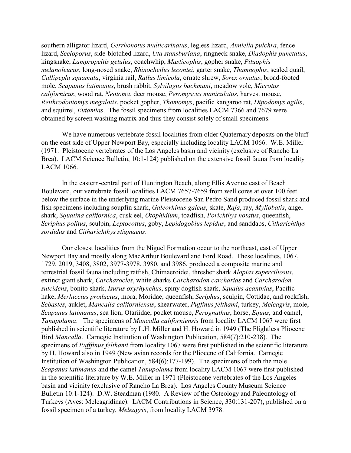southern alligator lizard, *Gerrhonotus multicarinatus*, legless lizard, *Anniella pulchra*, fence lizard, *Sceloporus*, side-blotched lizard, *Uta stansburiana*, ringneck snake, *Diadophis punctatus*, kingsnake, *Lampropeltis getulus*, coachwhip, *Masticophis*, gopher snake, *Pituophis melanoleucus*, long-nosed snake, *Rhinocheilus lecontei*, garter snake, *Thamnophis*, scaled quail, *Callipepla squamata*, virginia rail, *Rallus limicola*, ornate shrew, *Sorex ornatus*, broad-footed mole, *Scapanus latimanus*, brush rabbit, *Sylvilagus bachmani*, meadow vole, *Microtus californicus*, wood rat, *Neotoma*, deer mouse, *Peromyscus maniculatus*, harvest mouse, *Reithrodontomys megalotis*, pocket gopher, *Thomomys*, pacific kangaroo rat, *Dipodomys agilis*, and squirrel, *Eutamias*. The fossil specimens from localities LACM 7366 and 7679 were obtained by screen washing matrix and thus they consist solely of small specimens.

We have numerous vertebrate fossil localities from older Quaternary deposits on the bluff on the east side of Upper Newport Bay, especially including locality LACM 1066. W.E. Miller (1971. Pleistocene vertebrates of the Los Angeles basin and vicinity (exclusive of Rancho La Brea). LACM Science Bulletin, 10:1-124) published on the extensive fossil fauna from locality LACM 1066.

In the eastern-central part of Huntington Beach, along Ellis Avenue east of Beach Boulevard, our vertebrate fossil localities LACM 7657-7659 from well cores at over 100 feet below the surface in the underlying marine Pleistocene San Pedro Sand produced fossil shark and fish specimens including soupfin shark, *Galeorhinus galeus*, skate, *Raja*, ray, *Myliobatis*, angel shark, *Squatina californica*, cusk eel, *Otophidium*, toadfish, *Porichthys notatus*, queenfish, *Seriphus politus*, sculpin, *Leptocottus*, goby, *Lepidogobius lepidus*, and sanddabs, *Citharichthys sordidus* and *Citharichthys stigmaeus*.

Our closest localities from the Niguel Formation occur to the northeast, east of Upper Newport Bay and mostly along MacArthur Boulevard and Ford Road. These localities, 1067, 1729, 2019, 3408, 3802, 3977-3978, 3980, and 3986, produced a composite marine and terrestrial fossil fauna including ratfish, Chimaeroidei, thresher shark *Alopias superciliosus*, extinct giant shark, *Carcharocles*, white sharks *Carcharodon carcharias* and *Carcharodon sulcidens*, bonito shark, *Isurus oxyrhynchus*, spiny dogfish shark, *Squalus acanthias*, Pacific hake, *Merluccius productus*, mora, Moridae, queenfish, *Seriphus*, sculpin, Cottidae, and rockfish, *Sebastes*, auklet, *Mancalla californiensis*, shearwater, *Puffinus felthami*, turkey, *Meleagris*, mole, *Scapanus latimanus*, sea lion, Otariidae, pocket mouse, *Perognathus*, horse, *Equus*, and camel, *Tanupolama*. The specimens of *Mancalla californiensis* from locality LACM 1067 were first published in scientific literature by L.H. Miller and H. Howard in 1949 (The Flightless Pliocene Bird *Mancalla*. Carnegie Institution of Washington Publication, 584(7):210-238). The specimens of *Pufffinus felthami* from locality 1067 were first published in the scientific literature by H. Howard also in 1949 (New avian records for the Pliocene of California. Carnegie Institution of Washington Publication, 584(6):177-199). The specimens of both the mole *Scapanus latimanus* and the camel *Tanupolama* from locality LACM 1067 were first published in the scientific literature by W.E. Miller in 1971 (Pleistocene vertebrates of the Los Angeles basin and vicinity (exclusive of Rancho La Brea). Los Angeles County Museum Science Bulletin 10:1-124). D.W. Steadman (1980. A Review of the Osteology and Paleontology of Turkeys (Aves: Meleagridinae). LACM Contributions in Science, 330:131-207), published on a fossil specimen of a turkey, *Meleagris*, from locality LACM 3978.